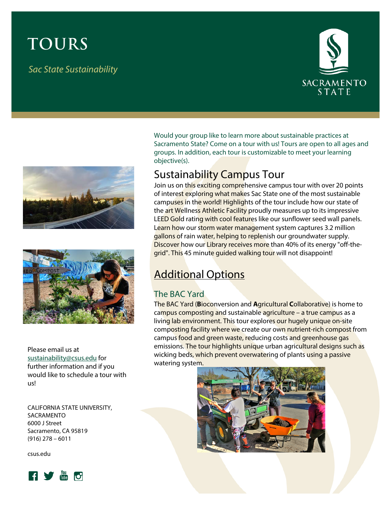# **TOURS**

*Sac State Sustainability*







Please email us at [sustainability@csus.edu](mailto:sustainability@csus.edu) for further information and if you would like to schedule a tour with us!

CALIFORNIA STATE UNIVERSITY, SACRAMENTO 6000 J Street Sacramento, CA 95819 (916) 278 – 6011

csus.edu



Would your group like to learn more about sustainable practices at Sacramento State? Come on a tour with us! Tours are open to all ages and groups. In addition, each tour is customizable to meet your learning objective(s).

# Sustainability Campus Tour

Join us on this exciting comprehensive campus tour with over 20 points of interest exploring what makes Sac State one of the most sustainable campuses in the world! Highlights of the tour include how our state of the art Wellness Athletic Facility proudly measures up to its impressive LEED Gold rating with cool features like our sunflower seed wall panels. Learn how our storm water management system captures 3.2 million gallons of rain water, helping to replenish our groundwater supply. Discover how our Library receives more than 40% of its energy "off-thegrid". This 45 minute guided walking tour will not disappoint!

# **Additional Options**

## The BAC Yard

The BAC Yard (**B**ioconversion and **A**gricultural **C**ollaborative) is home to campus composting and sustainable agriculture – a true campus as a living lab environment. This tour explores our hugely unique on-site composting facility where we create our own nutrient-rich compost from campus food and green waste, reducing costs and greenhouse gas emissions. The tour highlights unique urban agricultural designs such as wicking beds, which prevent overwatering of plants using a passive watering system.